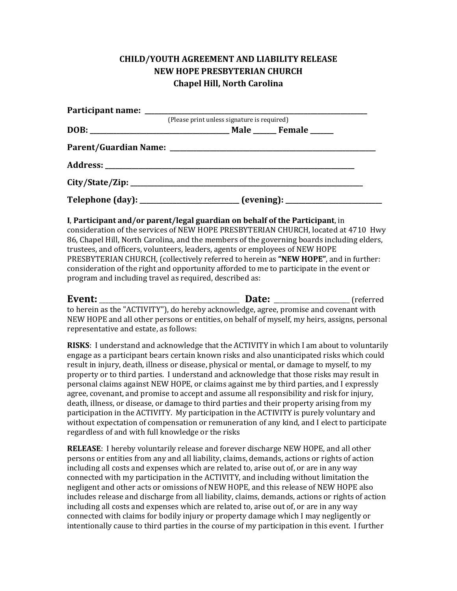## **CHILD/YOUTH AGREEMENT AND LIABILITY RELEASE NEW HOPE PRESBYTERIAN CHURCH Chapel Hill, North Carolina**

|                                                                                  | (Please print unless signature is required) |  |
|----------------------------------------------------------------------------------|---------------------------------------------|--|
|                                                                                  |                                             |  |
|                                                                                  |                                             |  |
|                                                                                  |                                             |  |
|                                                                                  |                                             |  |
| Telephone (day): _______________________ (evening): ____________________________ |                                             |  |

**I**, Participant and/or parent/legal guardian on behalf of the Participant, in

consideration of the services of NEW HOPE PRESBYTERIAN CHURCH, located at 4710 Hwy 86, Chapel Hill, North Carolina, and the members of the governing boards including elders, trustees, and officers, volunteers, leaders, agents or employees of NEW HOPE PRESBYTERIAN CHURCH, (collectively referred to herein as "NEW HOPE", and in further: consideration of the right and opportunity afforded to me to participate in the event or program and including travel as required, described as:

| Event:                                 | Date:                                                                                        | (referred) |
|----------------------------------------|----------------------------------------------------------------------------------------------|------------|
|                                        | to herein as the "ACTIVITY"), do hereby acknowledge, agree, promise and covenant with        |            |
|                                        | NEW HOPE and all other persons or entities, on behalf of myself, my heirs, assigns, personal |            |
| representative and estate, as follows: |                                                                                              |            |

**RISKS**: I understand and acknowledge that the ACTIVITY in which I am about to voluntarily engage as a participant bears certain known risks and also unanticipated risks which could result in injury, death, illness or disease, physical or mental, or damage to myself, to my property or to third parties. I understand and acknowledge that those risks may result in personal claims against NEW HOPE, or claims against me by third parties, and I expressly agree, covenant, and promise to accept and assume all responsibility and risk for injury, death, illness, or disease, or damage to third parties and their property arising from my participation in the ACTIVITY. My participation in the ACTIVITY is purely voluntary and without expectation of compensation or remuneration of any kind, and I elect to participate regardless of and with full knowledge or the risks

**RELEASE:** I hereby voluntarily release and forever discharge NEW HOPE, and all other persons or entities from any and all liability, claims, demands, actions or rights of action including all costs and expenses which are related to, arise out of, or are in any way connected with my participation in the ACTIVITY, and including without limitation the negligent and other acts or omissions of NEW HOPE, and this release of NEW HOPE also includes release and discharge from all liability, claims, demands, actions or rights of action including all costs and expenses which are related to, arise out of, or are in any way connected with claims for bodily injury or property damage which I may negligently or intentionally cause to third parties in the course of my participation in this event. I further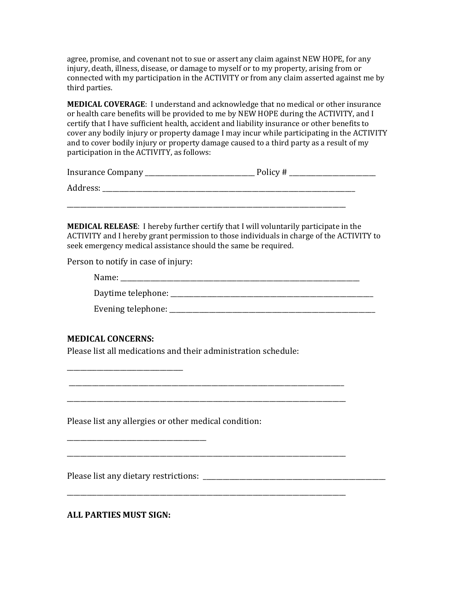agree, promise, and covenant not to sue or assert any claim against NEW HOPE, for any injury, death, illness, disease, or damage to myself or to my property, arising from or connected with my participation in the ACTIVITY or from any claim asserted against me by third parties.

**MEDICAL COVERAGE:** I understand and acknowledge that no medical or other insurance or health care benefits will be provided to me by NEW HOPE during the ACTIVITY, and I certify that I have sufficient health, accident and liability insurance or other benefits to cover any bodily injury or property damage I may incur while participating in the ACTIVITY and to cover bodily injury or property damage caused to a third party as a result of my participation in the ACTIVITY, as follows:

| Insurance Company | Policy # |
|-------------------|----------|
| Address:          |          |

\_\_\_\_\_\_\_\_\_\_\_\_\_\_\_\_\_\_\_\_\_\_\_\_\_\_\_\_\_\_\_\_\_\_\_\_\_\_\_\_\_\_\_\_\_\_\_\_\_\_\_\_\_\_\_\_\_\_\_\_\_\_\_\_\_\_\_\_\_\_\_\_\_\_\_\_\_\_\_\_\_\_\_\_

**MEDICAL RELEASE:** I hereby further certify that I will voluntarily participate in the ACTIVITY and I hereby grant permission to those individuals in charge of the ACTIVITY to seek emergency medical assistance should the same be required.

Person to notify in case of injury:

| n<br>. |  | _______________ | ________ |
|--------|--|-----------------|----------|
|        |  |                 |          |

| Daytime telephone: |
|--------------------|
|--------------------|

| Evening telephone: |  |
|--------------------|--|
|                    |  |
|                    |  |
|                    |  |
|                    |  |

### **MEDICAL CONCERNS:**

\_\_\_\_\_\_\_\_\_\_\_\_\_\_\_\_\_\_\_\_\_\_\_\_\_\_\_\_\_\_\_\_\_\_\_

Please list all medications and their administration schedule:

 \_\_\_\_\_\_\_\_\_\_\_\_\_\_\_\_\_\_\_\_\_\_\_\_\_\_\_\_\_\_\_\_\_\_\_\_\_\_\_\_\_\_\_\_\_\_\_\_\_\_\_\_\_\_\_\_\_\_\_\_\_\_\_\_\_\_\_\_\_\_\_\_\_\_\_\_\_\_\_\_\_\_\_

\_\_\_\_\_\_\_\_\_\_\_\_\_\_\_\_\_\_\_\_\_\_\_\_\_\_\_\_\_\_\_\_\_\_\_\_\_\_\_\_\_\_\_\_\_\_\_\_\_\_\_\_\_\_\_\_\_\_\_\_\_\_\_\_\_\_\_\_\_\_\_\_\_\_\_\_\_\_\_\_\_\_\_\_

\_\_\_\_\_\_\_\_\_\_\_\_\_\_\_\_\_\_\_\_\_\_\_\_\_\_\_\_\_\_\_\_\_\_\_\_\_\_\_\_\_\_\_\_\_\_\_\_\_\_\_\_\_\_\_\_\_\_\_\_\_\_\_\_\_\_\_\_\_\_\_\_\_\_\_\_\_\_\_\_\_\_\_\_

\_\_\_\_\_\_\_\_\_\_\_\_\_\_\_\_\_\_\_\_\_\_\_\_\_\_\_\_\_\_\_\_\_\_\_\_\_\_\_\_\_\_\_\_\_\_\_\_\_\_\_\_\_\_\_\_\_\_\_\_\_\_\_\_\_\_\_\_\_\_\_\_\_\_\_\_\_\_\_\_\_\_\_\_

Please list any allergies or other medical condition:

Please list any dietary restrictions: \_\_\_\_\_\_\_\_\_\_\_\_\_\_\_\_\_\_\_\_\_\_\_\_\_\_\_\_\_\_\_\_\_\_\_\_\_\_\_\_\_\_\_\_\_\_\_\_\_\_\_\_\_\_\_

\_\_\_\_\_\_\_\_\_\_\_\_\_\_\_\_\_\_\_\_\_\_\_\_\_\_\_\_\_\_\_\_\_\_\_\_\_\_\_\_\_\_

**ALL PARTIES MUST SIGN:**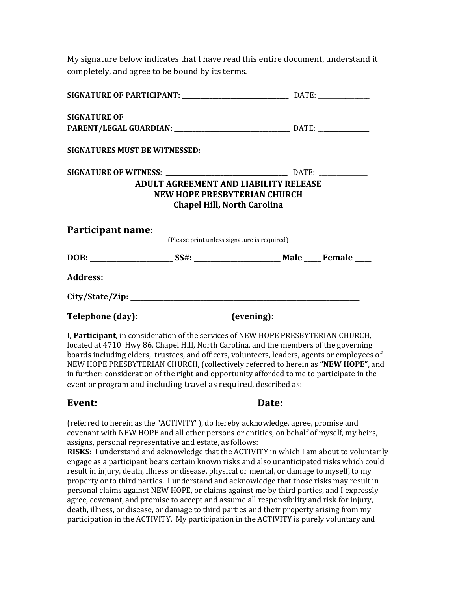My signature below indicates that I have read this entire document, understand it completely, and agree to be bound by its terms.

| SIGNATURE OF PARTICIPANT: ___________________________________ DATE: _____________                                                                                                                                                                                                                                                                                                                                                                                                                                                  |                                       |                                    |  |
|------------------------------------------------------------------------------------------------------------------------------------------------------------------------------------------------------------------------------------------------------------------------------------------------------------------------------------------------------------------------------------------------------------------------------------------------------------------------------------------------------------------------------------|---------------------------------------|------------------------------------|--|
| <b>SIGNATURE OF</b>                                                                                                                                                                                                                                                                                                                                                                                                                                                                                                                |                                       |                                    |  |
| PARENT/LEGAL GUARDIAN: ___________________________________ DATE: _______________                                                                                                                                                                                                                                                                                                                                                                                                                                                   |                                       |                                    |  |
| <b>SIGNATURES MUST BE WITNESSED:</b>                                                                                                                                                                                                                                                                                                                                                                                                                                                                                               |                                       |                                    |  |
|                                                                                                                                                                                                                                                                                                                                                                                                                                                                                                                                    |                                       |                                    |  |
|                                                                                                                                                                                                                                                                                                                                                                                                                                                                                                                                    | ADULT AGREEMENT AND LIABILITY RELEASE |                                    |  |
|                                                                                                                                                                                                                                                                                                                                                                                                                                                                                                                                    | <b>NEW HOPE PRESBYTERIAN CHURCH</b>   |                                    |  |
|                                                                                                                                                                                                                                                                                                                                                                                                                                                                                                                                    |                                       | <b>Chapel Hill, North Carolina</b> |  |
|                                                                                                                                                                                                                                                                                                                                                                                                                                                                                                                                    |                                       |                                    |  |
|                                                                                                                                                                                                                                                                                                                                                                                                                                                                                                                                    |                                       |                                    |  |
|                                                                                                                                                                                                                                                                                                                                                                                                                                                                                                                                    |                                       |                                    |  |
|                                                                                                                                                                                                                                                                                                                                                                                                                                                                                                                                    |                                       |                                    |  |
|                                                                                                                                                                                                                                                                                                                                                                                                                                                                                                                                    |                                       |                                    |  |
| Telephone (day): _____________________ (evening): ______________________________                                                                                                                                                                                                                                                                                                                                                                                                                                                   |                                       |                                    |  |
| I, Participant, in consideration of the services of NEW HOPE PRESBYTERIAN CHURCH,<br>located at 4710 Hwy 86, Chapel Hill, North Carolina, and the members of the governing<br>boards including elders, trustees, and officers, volunteers, leaders, agents or employees of<br>NEW HOPE PRESBYTERIAN CHURCH, (collectively referred to herein as "NEW HOPE", and<br>in further: consideration of the right and opportunity afforded to me to participate in the<br>event or program and including travel as required, described as: |                                       |                                    |  |
|                                                                                                                                                                                                                                                                                                                                                                                                                                                                                                                                    |                                       |                                    |  |
| (referred to herein as the "ACTIVITY"), do hereby acknowledge, agree, promise and<br>covenant with NEW HOPE and all other persons or entities, on behalf of myself, my heirs,<br>assigns, personal representative and estate, as follows:<br>RISKS: I understand and acknowledge that the ACTIVITY in which I am about to voluntarily<br>engage as a participant bears certain known risks and also unanticipated risks which could<br>requit in injury dooth illnoog or dioacoo physical or montal or domage to myself to my      |                                       |                                    |  |

result in injury, death, illness or disease, physical or mental, or damage to myself, to my property or to third parties. I understand and acknowledge that those risks may result in personal claims against NEW HOPE, or claims against me by third parties, and I expressly agree, covenant, and promise to accept and assume all responsibility and risk for injury, death, illness, or disease, or damage to third parties and their property arising from my participation in the ACTIVITY. My participation in the ACTIVITY is purely voluntary and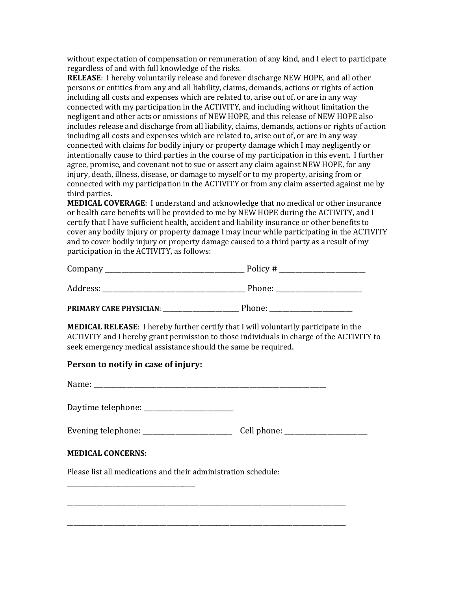without expectation of compensation or remuneration of any kind, and I elect to participate regardless of and with full knowledge of the risks.

**RELEASE:** I hereby voluntarily release and forever discharge NEW HOPE, and all other persons or entities from any and all liability, claims, demands, actions or rights of action including all costs and expenses which are related to, arise out of, or are in any way connected with my participation in the ACTIVITY, and including without limitation the negligent and other acts or omissions of NEW HOPE, and this release of NEW HOPE also includes release and discharge from all liability, claims, demands, actions or rights of action including all costs and expenses which are related to, arise out of, or are in any way connected with claims for bodily injury or property damage which I may negligently or intentionally cause to third parties in the course of my participation in this event. I further agree, promise, and covenant not to sue or assert any claim against NEW HOPE, for any injury, death, illness, disease, or damage to myself or to my property, arising from or connected with my participation in the ACTIVITY or from any claim asserted against me by third parties.

**MEDICAL COVERAGE:** I understand and acknowledge that no medical or other insurance or health care benefits will be provided to me by NEW HOPE during the ACTIVITY, and I certify that I have sufficient health, accident and liability insurance or other benefits to cover any bodily injury or property damage I may incur while participating in the ACTIVITY and to cover bodily injury or property damage caused to a third party as a result of my participation in the ACTIVITY, as follows:

| Company  | Policy # |
|----------|----------|
| Address: | Phone:   |

**PRIMARY CARE PHYSICIAN**: \_\_\_\_\_\_\_\_\_\_\_\_\_\_\_\_\_\_\_\_\_\_\_ Phone: \_\_\_\_\_\_\_\_\_\_\_\_\_\_\_\_\_\_\_\_\_\_\_\_\_

**MEDICAL RELEASE:** I hereby further certify that I will voluntarily participate in the ACTIVITY and I hereby grant permission to those individuals in charge of the ACTIVITY to seek emergency medical assistance should the same be required.

### **Person to notify in case of injury:**

\_\_\_\_\_\_\_\_\_\_\_\_\_\_\_\_\_\_\_\_\_\_\_\_\_\_\_\_\_\_\_\_\_\_\_\_\_\_\_\_\_\_

Name:

Daytime telephone: \_\_\_\_\_\_\_\_\_\_\_\_\_\_\_\_\_\_\_\_\_\_\_\_\_\_\_

|  | Evening telephone: | Cell phone: |
|--|--------------------|-------------|
|--|--------------------|-------------|

\_\_\_\_\_\_\_\_\_\_\_\_\_\_\_\_\_\_\_\_\_\_\_\_\_\_\_\_\_\_\_\_\_\_\_\_\_\_\_\_\_\_\_\_\_\_\_\_\_\_\_\_\_\_\_\_\_\_\_\_\_\_\_\_\_\_\_\_\_\_\_\_\_\_\_\_\_\_\_\_\_\_\_\_

\_\_\_\_\_\_\_\_\_\_\_\_\_\_\_\_\_\_\_\_\_\_\_\_\_\_\_\_\_\_\_\_\_\_\_\_\_\_\_\_\_\_\_\_\_\_\_\_\_\_\_\_\_\_\_\_\_\_\_\_\_\_\_\_\_\_\_\_\_\_\_\_\_\_\_\_\_\_\_\_\_\_\_\_

### **MEDICAL CONCERNS:**

Please list all medications and their administration schedule: